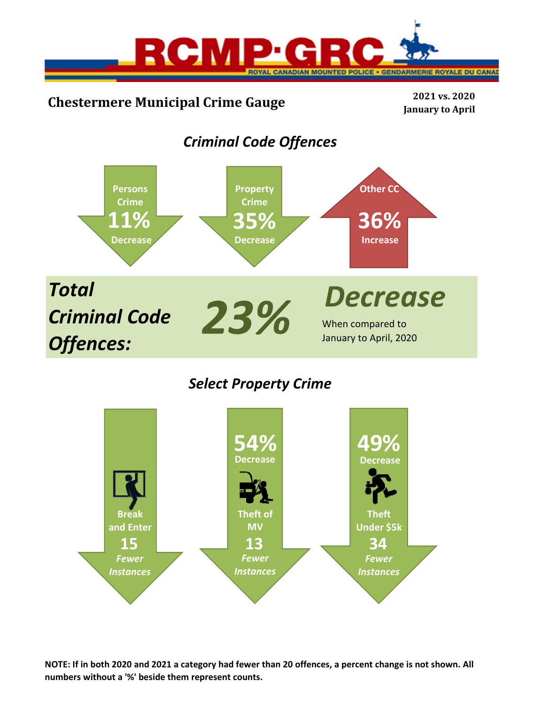

# **Chestermere Municipal Crime Gauge <sup>2021</sup> vs. <sup>2020</sup>**

**January to April**

# *Criminal Code Offences*



## *Select Property Crime*



**NOTE: If in both 2020 and 2021 a category had fewer than 20 offences, a percent change is not shown. All numbers without a '%' beside them represent counts.**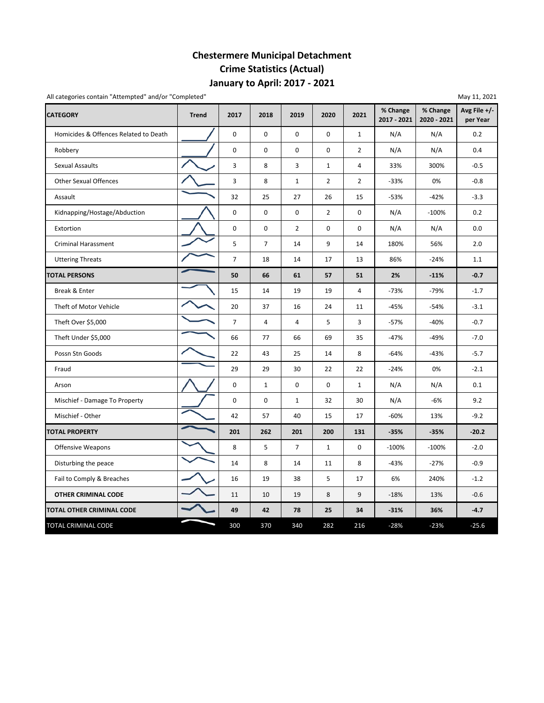## **January to April: 2017 ‐ 2021 Chestermere Municipal Detachment Crime Statistics (Actual)**

All categories contain "Attempted" and/or "Completed" May 11, 2021

| <b>CATEGORY</b>                       | <b>Trend</b> | 2017           | 2018           | 2019           | 2020           | 2021           | % Change<br>2017 - 2021 | % Change<br>2020 - 2021 | Avg File +/-<br>per Year |
|---------------------------------------|--------------|----------------|----------------|----------------|----------------|----------------|-------------------------|-------------------------|--------------------------|
| Homicides & Offences Related to Death |              | $\mathsf 0$    | 0              | $\mathbf 0$    | 0              | $\mathbf{1}$   | N/A                     | N/A                     | 0.2                      |
| Robbery                               |              | $\pmb{0}$      | 0              | $\mathbf 0$    | $\mathbf 0$    | $\overline{2}$ | N/A                     | N/A                     | 0.4                      |
| Sexual Assaults                       |              | 3              | 8              | 3              | $\mathbf{1}$   | 4              | 33%                     | 300%                    | $-0.5$                   |
| <b>Other Sexual Offences</b>          |              | 3              | 8              | $\mathbf{1}$   | $\overline{2}$ | $\overline{2}$ | $-33%$                  | 0%                      | $-0.8$                   |
| Assault                               |              | 32             | 25             | 27             | 26             | 15             | $-53%$                  | $-42%$                  | $-3.3$                   |
| Kidnapping/Hostage/Abduction          |              | 0              | 0              | 0              | $\overline{2}$ | 0              | N/A                     | $-100%$                 | 0.2                      |
| Extortion                             |              | 0              | 0              | $\overline{2}$ | 0              | 0              | N/A                     | N/A                     | 0.0                      |
| <b>Criminal Harassment</b>            |              | 5              | $\overline{7}$ | 14             | 9              | 14             | 180%                    | 56%                     | 2.0                      |
| <b>Uttering Threats</b>               |              | $\overline{7}$ | 18             | 14             | 17             | 13             | 86%                     | $-24%$                  | 1.1                      |
| <b>TOTAL PERSONS</b>                  |              | 50             | 66             | 61             | 57             | 51             | 2%                      | $-11%$                  | $-0.7$                   |
| Break & Enter                         |              | 15             | 14             | 19             | 19             | 4              | $-73%$                  | $-79%$                  | $-1.7$                   |
| Theft of Motor Vehicle                |              | 20             | 37             | 16             | 24             | 11             | $-45%$                  | $-54%$                  | $-3.1$                   |
| Theft Over \$5,000                    |              | $\overline{7}$ | 4              | $\overline{4}$ | 5              | 3              | $-57%$                  | $-40%$                  | $-0.7$                   |
| Theft Under \$5,000                   |              | 66             | 77             | 66             | 69             | 35             | $-47%$                  | $-49%$                  | $-7.0$                   |
| Possn Stn Goods                       |              | 22             | 43             | 25             | 14             | 8              | $-64%$                  | $-43%$                  | $-5.7$                   |
| Fraud                                 |              | 29             | 29             | 30             | 22             | 22             | $-24%$                  | 0%                      | $-2.1$                   |
| Arson                                 |              | 0              | $\mathbf{1}$   | 0              | 0              | 1              | N/A                     | N/A                     | 0.1                      |
| Mischief - Damage To Property         |              | $\mathbf 0$    | 0              | $\mathbf{1}$   | 32             | 30             | N/A                     | $-6%$                   | 9.2                      |
| Mischief - Other                      |              | 42             | 57             | 40             | 15             | 17             | $-60%$                  | 13%                     | $-9.2$                   |
| <b>TOTAL PROPERTY</b>                 |              | 201            | 262            | 201            | 200            | 131            | $-35%$                  | $-35%$                  | $-20.2$                  |
| <b>Offensive Weapons</b>              |              | 8              | 5              | $\overline{7}$ | $\mathbf{1}$   | 0              | $-100%$                 | $-100%$                 | $-2.0$                   |
| Disturbing the peace                  |              | 14             | 8              | 14             | 11             | 8              | $-43%$                  | $-27%$                  | $-0.9$                   |
| Fail to Comply & Breaches             |              | 16             | 19             | 38             | 5              | 17             | 6%                      | 240%                    | $-1.2$                   |
| OTHER CRIMINAL CODE                   |              | 11             | 10             | 19             | 8              | 9              | $-18%$                  | 13%                     | $-0.6$                   |
| TOTAL OTHER CRIMINAL CODE             |              | 49             | 42             | 78             | 25             | 34             | $-31%$                  | 36%                     | $-4.7$                   |
| TOTAL CRIMINAL CODE                   |              | 300            | 370            | 340            | 282            | 216            | $-28%$                  | $-23%$                  | $-25.6$                  |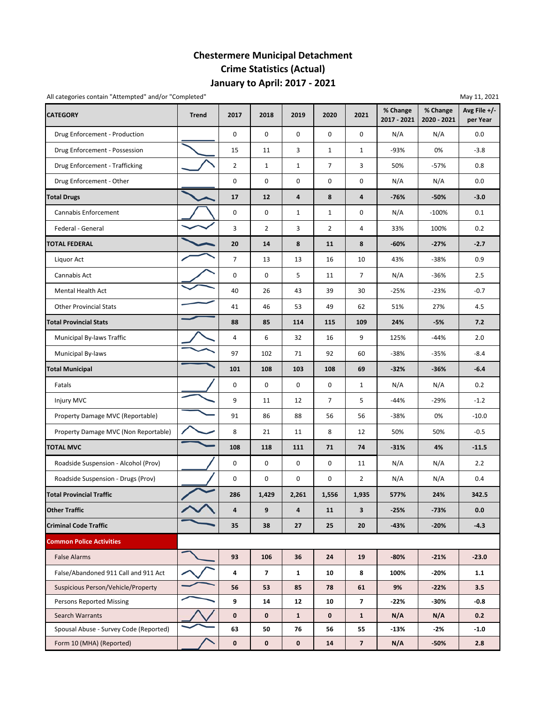## **January to April: 2017 ‐ 2021 Chestermere Municipal Detachment Crime Statistics (Actual)**

All categories contain "Attempted" and/or "Completed" and  $\sqrt{2}$  may 11, 2021

| <b>CATEGORY</b>                        | <b>Trend</b> | 2017           | 2018                     | 2019           | 2020               | 2021                    | % Change<br>2017 - 2021 | % Change<br>2020 - 2021 | Avg File $+/-$<br>per Year |
|----------------------------------------|--------------|----------------|--------------------------|----------------|--------------------|-------------------------|-------------------------|-------------------------|----------------------------|
| Drug Enforcement - Production          |              | $\mathbf 0$    | $\mathbf 0$              | $\mathbf 0$    | $\mathbf 0$        | 0                       | N/A                     | N/A                     | 0.0                        |
| Drug Enforcement - Possession          |              | 15             | 11                       | 3              | $\mathbf{1}$       | 1                       | -93%                    | 0%                      | $-3.8$                     |
| Drug Enforcement - Trafficking         |              | $\overline{2}$ | 1                        | $\mathbf{1}$   | $\overline{7}$     | 3                       | 50%                     | $-57%$                  | 0.8                        |
| Drug Enforcement - Other               |              | 0              | 0                        | 0              | $\mathbf 0$        | 0                       | N/A                     | N/A                     | 0.0                        |
| <b>Total Drugs</b>                     |              | 17             | 12                       | $\overline{4}$ | 8                  | 4                       | -76%                    | $-50%$                  | $-3.0$                     |
| Cannabis Enforcement                   |              | 0              | 0                        | $\mathbf{1}$   | $\mathbf{1}$       | 0                       | N/A                     | $-100%$                 | 0.1                        |
| Federal - General                      |              | 3              | $\overline{2}$           | 3              | $\overline{2}$     | 4                       | 33%                     | 100%                    | 0.2                        |
| <b>TOTAL FEDERAL</b>                   |              | 20             | 14                       | 8              | 11                 | 8                       | -60%                    | $-27%$                  | $-2.7$                     |
| Liquor Act                             |              | $\overline{7}$ | 13                       | 13             | 16                 | 10                      | 43%                     | $-38%$                  | 0.9                        |
| Cannabis Act                           |              | 0              | 0                        | 5              | 11                 | $\overline{7}$          | N/A                     | $-36%$                  | 2.5                        |
| Mental Health Act                      |              | 40             | 26                       | 43             | 39                 | 30                      | $-25%$                  | $-23%$                  | $-0.7$                     |
| <b>Other Provincial Stats</b>          |              | 41             | 46                       | 53             | 49                 | 62                      | 51%                     | 27%                     | 4.5                        |
| <b>Total Provincial Stats</b>          |              | 88             | 85                       | 114            | 115                | 109                     | 24%                     | -5%                     | 7.2                        |
| Municipal By-laws Traffic              |              | $\overline{4}$ | 6                        | 32             | 16                 | 9                       | 125%                    | -44%                    | 2.0                        |
| <b>Municipal By-laws</b>               |              | 97             | 102                      | 71             | 92                 | 60                      | $-38%$                  | $-35%$                  | $-8.4$                     |
| <b>Total Municipal</b>                 |              | 101            | 108                      | 103            | 108                | 69                      | $-32%$                  | $-36%$                  | $-6.4$                     |
| Fatals                                 |              | 0              | 0                        | $\mathbf 0$    | 0                  | 1                       | N/A                     | N/A                     | 0.2                        |
| <b>Injury MVC</b>                      |              | 9              | 11                       | 12             | $\overline{7}$     | 5                       | $-44%$                  | $-29%$                  | $-1.2$                     |
| Property Damage MVC (Reportable)       |              | 91             | 86                       | 88             | 56                 | 56                      | -38%                    | 0%                      | $-10.0$                    |
| Property Damage MVC (Non Reportable)   |              | 8              | 21                       | 11             | 8                  | 12                      | 50%                     | 50%                     | $-0.5$                     |
| <b>TOTAL MVC</b>                       |              | 108            | 118                      | 111            | 71                 | 74                      | $-31%$                  | 4%                      | $-11.5$                    |
| Roadside Suspension - Alcohol (Prov)   |              | 0              | 0                        | $\mathbf 0$    | $\mathbf 0$        | 11                      | N/A                     | N/A                     | 2.2                        |
| Roadside Suspension - Drugs (Prov)     |              | 0              | 0                        | 0              | 0                  | $\overline{2}$          | N/A                     | N/A                     | 0.4                        |
| <b>Total Provincial Traffic</b>        |              | 286            | 1,429                    | 2,261          | 1,556              | 1,935                   | 577%                    | 24%                     | 342.5                      |
| <b>Other Traffic</b>                   |              | 4              | 9                        | 4              | 11                 | 3                       | $-25%$                  | $-73%$                  | 0.0                        |
| <b>Criminal Code Traffic</b>           |              | 35             | 38                       | 27             | 25                 | 20                      | -43%                    | $-20%$                  | $-4.3$                     |
| <b>Common Police Activities</b>        |              |                |                          |                |                    |                         |                         |                         |                            |
| <b>False Alarms</b>                    |              | 93             | 106                      | 36             | 24                 | 19                      | $-80%$                  | $-21%$                  | $-23.0$                    |
| False/Abandoned 911 Call and 911 Act   |              | 4              | $\overline{\phantom{a}}$ | $\mathbf{1}$   | 10                 | 8                       | 100%                    | $-20%$                  | 1.1                        |
| Suspicious Person/Vehicle/Property     |              | 56             | 53                       | 85             | 78                 | 61                      | 9%                      | $-22%$                  | 3.5                        |
| Persons Reported Missing               |              | 9              | 14                       | 12             | 10                 | $\overline{\mathbf{z}}$ | -22%                    | -30%                    | $-0.8$                     |
| Search Warrants                        |              | $\mathbf 0$    | $\mathbf 0$              | $\mathbf{1}$   | $\pmb{\mathsf{0}}$ | $\mathbf{1}$            | N/A                     | N/A                     | 0.2                        |
| Spousal Abuse - Survey Code (Reported) |              | 63             | 50                       | 76             | 56                 | 55                      | -13%                    | -2%                     | $-1.0$                     |
| Form 10 (MHA) (Reported)               |              | $\mathbf 0$    | $\mathbf 0$              | 0              | 14                 | $\overline{\mathbf{z}}$ | N/A                     | $-50%$                  | 2.8                        |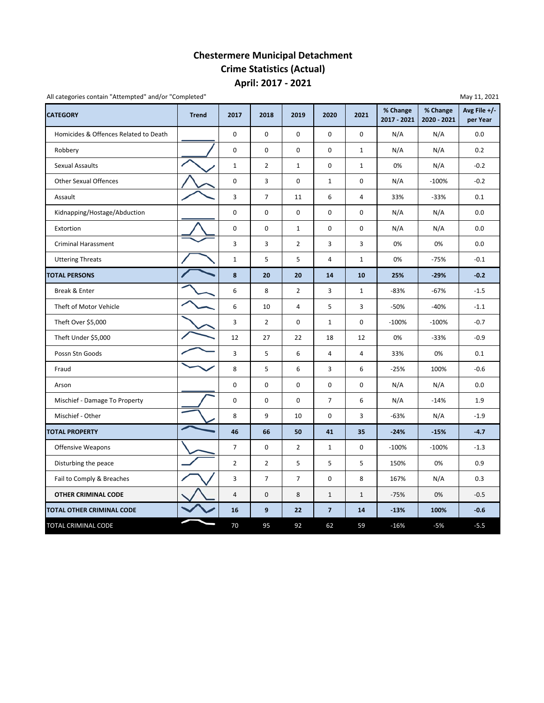### **April: 2017 ‐ 2021 Chestermere Municipal Detachment Crime Statistics (Actual)**

All categories contain "Attempted" and/or "Completed"

| <b>CATEGORY</b>                       | <b>Trend</b> | 2017           | 2018           | 2019           | 2020                    | 2021                | % Change<br>2017 - 2021 | % Change<br>2020 - 2021 | Avg File $+/-$<br>per Year |
|---------------------------------------|--------------|----------------|----------------|----------------|-------------------------|---------------------|-------------------------|-------------------------|----------------------------|
| Homicides & Offences Related to Death |              | $\mathbf 0$    | $\mathbf 0$    | $\mathbf 0$    | $\mathbf 0$             | $\mathbf 0$         | N/A                     | N/A                     | 0.0                        |
| Robbery                               |              | 0              | 0              | $\mathbf 0$    | 0                       | $\mathbf{1}$        | N/A                     | N/A                     | 0.2                        |
| Sexual Assaults                       |              | $\mathbf{1}$   | $\overline{2}$ | $\mathbf{1}$   | 0                       | $\mathbf{1}$        | 0%                      | N/A                     | $-0.2$                     |
| <b>Other Sexual Offences</b>          |              | $\mathsf 0$    | 3              | $\mathsf 0$    | $\mathbf 1$             | $\mathbf 0$         | N/A                     | $-100%$                 | $-0.2$                     |
| Assault                               |              | 3              | $\overline{7}$ | 11             | 6                       | $\overline{4}$      | 33%                     | $-33%$                  | 0.1                        |
| Kidnapping/Hostage/Abduction          |              | $\mathbf 0$    | $\mathsf 0$    | $\mathsf 0$    | $\mathsf 0$             | $\mathsf{O}\xspace$ | N/A                     | N/A                     | 0.0                        |
| Extortion                             |              | $\mathsf 0$    | 0              | $\mathbf{1}$   | 0                       | 0                   | N/A                     | N/A                     | 0.0                        |
| <b>Criminal Harassment</b>            |              | 3              | 3              | $\overline{2}$ | 3                       | 3                   | 0%                      | 0%                      | 0.0                        |
| <b>Uttering Threats</b>               |              | $\mathbf 1$    | 5              | 5              | 4                       | $\mathbf 1$         | 0%                      | $-75%$                  | $-0.1$                     |
| <b>TOTAL PERSONS</b>                  |              | $\bf8$         | 20             | 20             | 14                      | 10                  | 25%                     | $-29%$                  | $-0.2$                     |
| Break & Enter                         |              | 6              | 8              | $\overline{2}$ | 3                       | $\mathbf{1}$        | $-83%$                  | $-67%$                  | $-1.5$                     |
| Theft of Motor Vehicle                |              | 6              | 10             | 4              | 5                       | 3                   | $-50%$                  | $-40%$                  | $-1.1$                     |
| Theft Over \$5,000                    |              | 3              | $\overline{2}$ | $\mathbf 0$    | $\mathbf{1}$            | $\mathbf 0$         | $-100%$                 | $-100%$                 | $-0.7$                     |
| Theft Under \$5,000                   |              | 12             | 27             | 22             | 18                      | 12                  | 0%                      | $-33%$                  | $-0.9$                     |
| Possn Stn Goods                       |              | 3              | 5              | 6              | $\overline{4}$          | 4                   | 33%                     | 0%                      | 0.1                        |
| Fraud                                 |              | 8              | 5              | 6              | 3                       | 6                   | $-25%$                  | 100%                    | $-0.6$                     |
| Arson                                 |              | 0              | 0              | 0              | 0                       | 0                   | N/A                     | N/A                     | 0.0                        |
| Mischief - Damage To Property         |              | $\mathsf 0$    | 0              | $\mathbf 0$    | $\overline{7}$          | 6                   | N/A                     | $-14%$                  | 1.9                        |
| Mischief - Other                      |              | 8              | 9              | 10             | 0                       | 3                   | $-63%$                  | N/A                     | $-1.9$                     |
| <b>TOTAL PROPERTY</b>                 |              | 46             | 66             | 50             | 41                      | 35                  | $-24%$                  | $-15%$                  | 4.7                        |
| Offensive Weapons                     |              | $\overline{7}$ | $\mathsf 0$    | $\overline{2}$ | $\mathbf{1}$            | $\mathsf 0$         | $-100%$                 | $-100%$                 | $-1.3$                     |
| Disturbing the peace                  |              | $\overline{2}$ | $\overline{2}$ | $\mathsf S$    | 5                       | 5                   | 150%                    | 0%                      | 0.9                        |
| Fail to Comply & Breaches             |              | 3              | $\overline{7}$ | $\overline{7}$ | 0                       | 8                   | 167%                    | N/A                     | 0.3                        |
| <b>OTHER CRIMINAL CODE</b>            |              | $\overline{4}$ | $\pmb{0}$      | 8              | $\mathbf{1}$            | $1\,$               | $-75%$                  | 0%                      | $-0.5$                     |
| TOTAL OTHER CRIMINAL CODE             |              | 16             | 9              | 22             | $\overline{\mathbf{z}}$ | 14                  | $-13%$                  | 100%                    | $-0.6$                     |
| TOTAL CRIMINAL CODE                   |              | 70             | 95             | 92             | 62                      | 59                  | $-16%$                  | $-5%$                   | $-5.5$                     |

May 11, 2021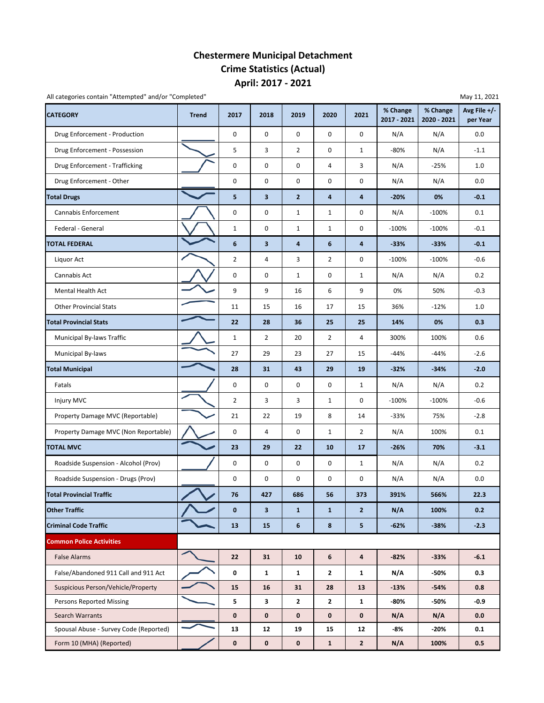### **April: 2017 ‐ 2021 Chestermere Municipal Detachment Crime Statistics (Actual)**

All categories contain "Attempted" and/or "Completed" and and a series are a series of the May 11, 2021 May 11, 2021

| <b>CATEGORY</b>                        | <b>Trend</b> | 2017           | 2018                    | 2019           | 2020           | 2021                    | % Change<br>2017 - 2021 | % Change<br>2020 - 2021 | Avg File +/-<br>per Year |
|----------------------------------------|--------------|----------------|-------------------------|----------------|----------------|-------------------------|-------------------------|-------------------------|--------------------------|
| Drug Enforcement - Production          |              | 0              | 0                       | 0              | 0              | 0                       | N/A                     | N/A                     | 0.0                      |
| Drug Enforcement - Possession          |              | 5              | 3                       | $\overline{2}$ | 0              | $\mathbf 1$             | $-80%$                  | N/A                     | $-1.1$                   |
| Drug Enforcement - Trafficking         |              | 0              | 0                       | 0              | 4              | 3                       | N/A                     | $-25%$                  | 1.0                      |
| Drug Enforcement - Other               |              | 0              | 0                       | 0              | 0              | 0                       | N/A                     | N/A                     | 0.0                      |
| <b>Total Drugs</b>                     |              | 5              | 3                       | $\overline{2}$ | 4              | $\overline{\mathbf{a}}$ | $-20%$                  | 0%                      | $-0.1$                   |
| Cannabis Enforcement                   |              | 0              | 0                       | $\mathbf{1}$   | 1              | 0                       | N/A                     | $-100%$                 | 0.1                      |
| Federal - General                      |              | $\mathbf{1}$   | 0                       | $\mathbf{1}$   | $\mathbf{1}$   | 0                       | $-100%$                 | $-100%$                 | $-0.1$                   |
| <b>TOTAL FEDERAL</b>                   |              | 6              | $\overline{\mathbf{3}}$ | 4              | 6              | 4                       | $-33%$                  | $-33%$                  | $-0.1$                   |
| Liquor Act                             |              | $\overline{2}$ | 4                       | 3              | $\overline{2}$ | 0                       | $-100%$                 | $-100%$                 | $-0.6$                   |
| Cannabis Act                           |              | 0              | 0                       | $\mathbf{1}$   | 0              | $\mathbf{1}$            | N/A                     | N/A                     | 0.2                      |
| Mental Health Act                      |              | 9              | 9                       | 16             | 6              | 9                       | 0%                      | 50%                     | $-0.3$                   |
| <b>Other Provincial Stats</b>          |              | 11             | 15                      | 16             | 17             | 15                      | 36%                     | $-12%$                  | 1.0                      |
| <b>Total Provincial Stats</b>          |              | 22             | 28                      | 36             | 25             | 25                      | 14%                     | 0%                      | 0.3                      |
| Municipal By-laws Traffic              |              | $\mathbf{1}$   | $\overline{2}$          | 20             | $\overline{2}$ | 4                       | 300%                    | 100%                    | 0.6                      |
| Municipal By-laws                      |              | 27             | 29                      | 23             | 27             | 15                      | $-44%$                  | $-44%$                  | $-2.6$                   |
| <b>Total Municipal</b>                 |              | 28             | 31                      | 43             | 29             | 19                      | $-32%$                  | $-34%$                  | $-2.0$                   |
| Fatals                                 |              | 0              | 0                       | 0              | 0              | $\mathbf{1}$            | N/A                     | N/A                     | 0.2                      |
| Injury MVC                             |              | $\overline{2}$ | 3                       | 3              | $\mathbf{1}$   | 0                       | $-100%$                 | $-100%$                 | $-0.6$                   |
| Property Damage MVC (Reportable)       |              | 21             | 22                      | 19             | 8              | 14                      | $-33%$                  | 75%                     | $-2.8$                   |
| Property Damage MVC (Non Reportable)   |              | 0              | 4                       | 0              | $1\,$          | $\overline{2}$          | N/A                     | 100%                    | 0.1                      |
| <b>TOTAL MVC</b>                       |              | 23             | 29                      | 22             | 10             | 17                      | $-26%$                  | 70%                     | $-3.1$                   |
| Roadside Suspension - Alcohol (Prov)   |              | 0              | 0                       | 0              | 0              | $\mathbf{1}$            | N/A                     | N/A                     | 0.2                      |
| Roadside Suspension - Drugs (Prov)     |              | 0              | 0                       | 0              | 0              | 0                       | N/A                     | N/A                     | 0.0                      |
| <b>Total Provincial Traffic</b>        |              | 76             | 427                     | 686            | 56             | 373                     | 391%                    | 566%                    | 22.3                     |
| <b>Other Traffic</b>                   |              | $\mathbf{0}$   | 3 <sup>1</sup>          | $\mathbf{1}$   | $\mathbf{1}$   | $\overline{2}$          | N/A                     | 100%                    | 0.2                      |
| <b>Criminal Code Traffic</b>           |              | 13             | 15                      | 6              | 8              | 5                       | $-62%$                  | $-38%$                  | $-2.3$                   |
| <b>Common Police Activities</b>        |              |                |                         |                |                |                         |                         |                         |                          |
| <b>False Alarms</b>                    |              | 22             | 31                      | 10             | 6              | $\overline{\mathbf{4}}$ | $-82%$                  | $-33%$                  | $-6.1$                   |
| False/Abandoned 911 Call and 911 Act   |              | 0              | $\mathbf{1}$            | $\mathbf{1}$   | $\mathbf{2}$   | $\mathbf{1}$            | N/A                     | -50%                    | 0.3                      |
| Suspicious Person/Vehicle/Property     |              | 15             | 16                      | 31             | 28             | 13                      | $-13%$                  | $-54%$                  | 0.8                      |
| <b>Persons Reported Missing</b>        |              | 5              | 3                       | 2              | $\mathbf{2}$   | $\mathbf{1}$            | -80%                    | -50%                    | $-0.9$                   |
| Search Warrants                        |              | $\mathbf 0$    | $\mathbf 0$             | $\mathbf 0$    | 0              | $\mathbf 0$             | N/A                     | N/A                     | 0.0                      |
| Spousal Abuse - Survey Code (Reported) |              | 13             | 12                      | 19             | 15             | 12                      | -8%                     | $-20%$                  | 0.1                      |
| Form 10 (MHA) (Reported)               |              | $\pmb{0}$      | $\mathbf 0$             | $\mathbf 0$    | $\mathbf{1}$   | $\overline{2}$          | N/A                     | 100%                    | 0.5                      |